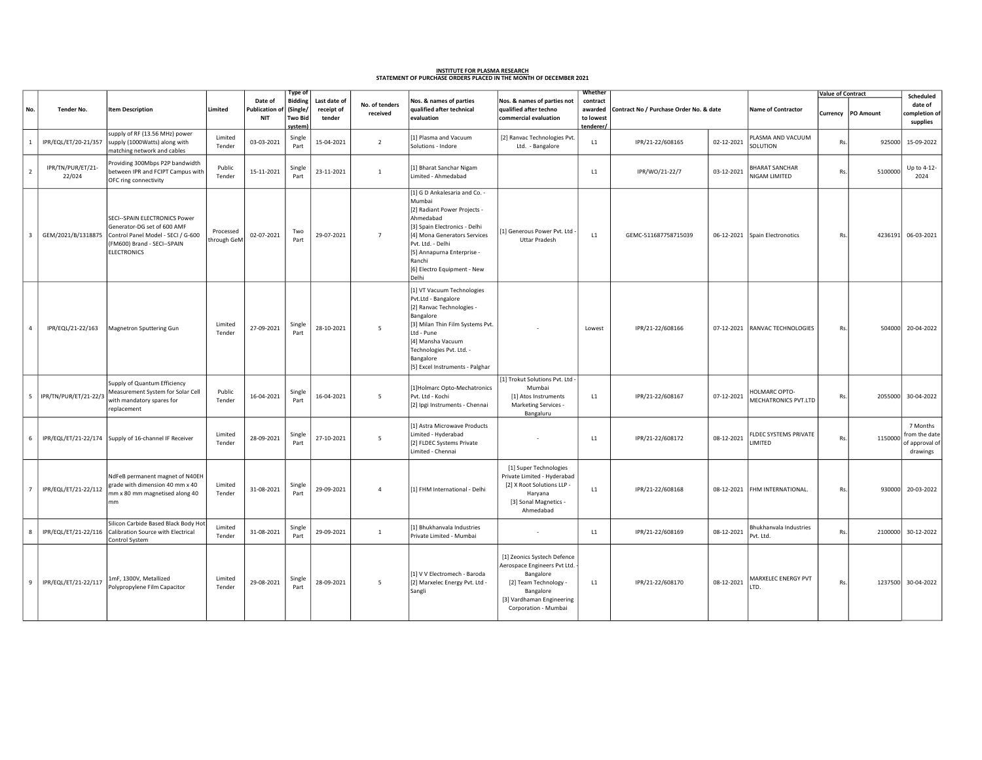## <u>INSTITUTE FOR PLASMA RESEARCH</u><br>STATEMENT OF PURCHASE ORDERS PLACED IN THE MONTH OF DECEMBER 2021

|                          |                             |                                                                                                                                                         |                          |                                               | Type of                                         |                                      |                            |                                                                                                                                                                                                                                                            |                                                                                                                                                                     | Whether                                       |                                         |            |                                              | <b>Value of Contract</b> |                      | Scheduled                                               |
|--------------------------|-----------------------------|---------------------------------------------------------------------------------------------------------------------------------------------------------|--------------------------|-----------------------------------------------|-------------------------------------------------|--------------------------------------|----------------------------|------------------------------------------------------------------------------------------------------------------------------------------------------------------------------------------------------------------------------------------------------------|---------------------------------------------------------------------------------------------------------------------------------------------------------------------|-----------------------------------------------|-----------------------------------------|------------|----------------------------------------------|--------------------------|----------------------|---------------------------------------------------------|
| No.                      | Tender No.                  | <b>Item Description</b>                                                                                                                                 | Limited                  | Date of<br><b>Publication o</b><br><b>NIT</b> | <b>Bidding</b><br>(Single)<br>Two Bid<br>system | Last date of<br>receipt of<br>tender | No. of tenders<br>received | Nos. & names of parties<br>qualified after technical<br>evaluation                                                                                                                                                                                         | Nos. & names of parties not<br>qualified after techno<br>commercial evaluation                                                                                      | contract<br>awarded<br>to lowest<br>tenderer/ | Contract No / Purchase Order No. & date |            | <b>Name of Contractor</b>                    |                          | Currency   PO Amount | date of<br>completion of<br>supplies                    |
| $\overline{1}$           | IPR/EQL/ET/20-21/357        | supply of RF (13.56 MHz) power<br>supply (1000Watts) along with<br>matching network and cables                                                          | Limited<br>Tender        | 03-03-2021                                    | Single<br>Part                                  | 15-04-2021                           | $\overline{2}$             | [1] Plasma and Vacuum<br>Solutions - Indore                                                                                                                                                                                                                | [2] Ranvac Technologies Pvt.<br>Ltd. - Bangalore                                                                                                                    | L1                                            | IPR/21-22/608165                        | 02-12-2021 | PLASMA AND VACUUM<br>SOLUTION                | Rs.                      | 925000               | 15-09-2022                                              |
| $\overline{\phantom{a}}$ | IPR/TN/PUR/ET/21-<br>22/024 | Providing 300Mbps P2P bandwidth<br>between IPR and FCIPT Campus with<br>OFC ring connectivity                                                           | Public<br>Tender         | 15-11-2021                                    | Single<br>Part                                  | 23-11-2021                           | $\mathbf{1}$               | [1] Bharat Sanchar Nigam<br>Limited - Ahmedabad                                                                                                                                                                                                            |                                                                                                                                                                     | L1                                            | IPR/WO/21-22/7                          | 03-12-2021 | <b>HARAT SANCHAR</b><br><b>NIGAM LIMITED</b> | Rs.                      | 5100000              | Up to 4-12-<br>2024                                     |
| $\overline{3}$           | GEM/2021/B/1318875          | SECI--SPAIN ELECTRONICS Power<br>Generator-DG set of 600 AMF<br>Control Panel Model - SECI / G-600<br>(FM600) Brand - SECI--SPAIN<br><b>ELECTRONICS</b> | Processed<br>through GeM | 02-07-2021                                    | Two<br>Part                                     | 29-07-2021                           | $\overline{7}$             | [1] G D Ankalesaria and Co. -<br>Mumbai<br>[2] Radiant Power Projects -<br>Ahmedabad<br>[3] Spain Electronics - Delhi<br>[4] Mona Generators Services<br>Pvt. Ltd. - Delhi<br>[5] Annapurna Enterprise -<br>Ranchi<br>[6] Electro Equipment - New<br>Delhi | [1] Generous Power Pvt. Ltd<br><b>Uttar Pradesh</b>                                                                                                                 | L1                                            | GEMC-511687758715039                    | 06-12-2021 | Spain Electronotics                          | Rs.                      | 4236191              | 06-03-2021                                              |
| $\overline{4}$           | IPR/EQL/21-22/163           | Magnetron Sputtering Gun                                                                                                                                | Limited<br>Tender        | 27-09-2021                                    | Single<br>Part                                  | 28-10-2021                           | $\overline{5}$             | [1] VT Vacuum Technologies<br>Pvt.Ltd - Bangalore<br>[2] Ranvac Technologies -<br>Bangalore<br>[3] Milan Thin Film Systems Pvt.<br>Ltd - Pune<br>[4] Mansha Vacuum<br>Technologies Pvt. Ltd. -<br>Bangalore<br>[5] Excel Instruments - Palghar             |                                                                                                                                                                     | Lowest                                        | IPR/21-22/608166                        | 07-12-2021 | RANVAC TECHNOLOGIES                          | Rs.                      |                      | 504000 20-04-2022                                       |
| 5                        | IPR/TN/PUR/ET/21-22/        | Supply of Quantum Efficiency<br>Measurement System for Solar Cell<br>with mandatory spares for<br>replacement                                           | Public<br>Tender         | 16-04-2021                                    | Single<br>Part                                  | 16-04-2021                           | 5                          | [1]Holmarc Opto-Mechatronics<br>Pvt. Ltd - Kochi<br>[2] Ipgi Instruments - Chennai                                                                                                                                                                         | [1] Trokut Solutions Pvt. Ltd -<br>Mumbai<br>[1] Atos Instruments<br>Marketing Services -<br>Bangaluru                                                              | L1                                            | IPR/21-22/608167                        | 07-12-2021 | HOLMARC OPTO-<br>MECHATRONICS PVT.LTD        | Rs.                      | 2055000              | 30-04-2022                                              |
| 6                        |                             | IPR/EQL/ET/21-22/174 Supply of 16-channel IF Receiver                                                                                                   | Limited<br>Tender        | 28-09-2021                                    | Single<br>Part                                  | 27-10-2021                           | 5                          | [1] Astra Microwave Products<br>Limited - Hyderabad<br>[2] FLDEC Systems Private<br>Limited - Chennai                                                                                                                                                      |                                                                                                                                                                     | L1                                            | IPR/21-22/608172                        | 08-12-2021 | FLDEC SYSTEMS PRIVATE<br><b>IMITED</b>       | Rs.                      | 1150000              | 7 Months<br>from the date<br>of approval of<br>drawings |
|                          | IPR/EQL/ET/21-22/112        | NdFeB permanent magnet of N40EH<br>grade with dimension 40 mm x 40<br>mm x 80 mm magnetised along 40<br>mm                                              | Limited<br>Tender        | 31-08-2021                                    | Single<br>Part                                  | 29-09-2021                           | $\overline{4}$             | [1] FHM International - Delhi                                                                                                                                                                                                                              | [1] Super Technologies<br>Private Limited - Hyderabad<br>[2] X Root Solutions LLP -<br>Haryana<br>[3] Sonal Magnetics -<br>Ahmedabad                                | L1                                            | IPR/21-22/608168                        | 08-12-2021 | FHM INTERNATIONAL.                           | Rs.                      |                      | 930000 20-03-2022                                       |
| 8                        | IPR/EQL/ET/21-22/116        | Silicon Carbide Based Black Body Hot<br>Calibration Source with Electrical<br>Control System                                                            | Limited<br>Tender        | 31-08-2021                                    | Single<br>Part                                  | 29-09-2021                           | $\mathbf{1}$               | [1] Bhukhanvala Industries<br>Private Limited - Mumbai                                                                                                                                                                                                     |                                                                                                                                                                     | L1                                            | IPR/21-22/608169                        | 08-12-2021 | Bhukhanvala Industries<br>Pvt. Ltd.          | Rs.                      | 2100000              | 30-12-2022                                              |
| 9                        | IPR/EQL/ET/21-22/117        | 1mF, 1300V, Metallized<br>Polypropylene Film Capacitor                                                                                                  | Limited<br>Tender        | 29-08-2021                                    | Single<br>Part                                  | 28-09-2021                           | 5                          | [1] V V Electromech - Baroda<br>[2] Marxelec Energy Pvt. Ltd -<br>Sangli                                                                                                                                                                                   | [1] Zeonics Systech Defence<br>Aerospace Engineers Pvt Ltd.<br>Bangalore<br>[2] Team Technology -<br>Bangalore<br>[3] Vardhaman Engineering<br>Corporation - Mumbai | L1                                            | IPR/21-22/608170                        | 08-12-2021 | MARXELEC ENERGY PVT<br>LTD.                  | Rs.                      |                      | 1237500 30-04-2022                                      |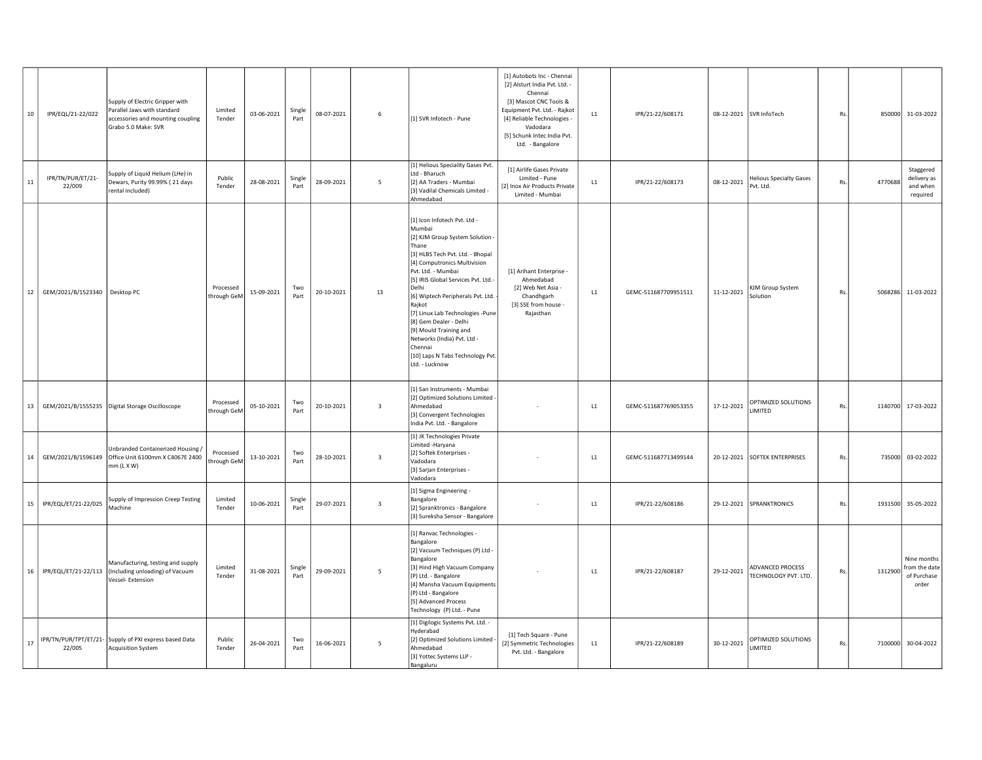| 10     | IPR/EQL/21-22/022               | Supply of Electric Gripper with<br>Parallel Jaws with standard<br>accessories and mounting coupling<br>Grabo 5.0 Make: SVR | Limited<br>Tender        | 03-06-2021 | Single<br>Part | 08-07-2021 | 6                       | [1] SVR Infotech - Pune                                                                                                                                                                                                                                                                                                                                                                                                                                           | [1] Autobots Inc - Chennai<br>[2] Alsturt India Pvt. Ltd. -<br>Chennai<br>[3] Mascot CNC Tools &<br>Equipment Pvt. Ltd. - Rajkot<br>[4] Reliable Technologies -<br>Vadodara<br>[5] Schunk Intec India Pvt.<br>Ltd. - Bangalore | L1 | IPR/21-22/608171     |            | 08-12-2021 SVR InfoTech                  | Rs |         | 850000 31-03-2022                                    |
|--------|---------------------------------|----------------------------------------------------------------------------------------------------------------------------|--------------------------|------------|----------------|------------|-------------------------|-------------------------------------------------------------------------------------------------------------------------------------------------------------------------------------------------------------------------------------------------------------------------------------------------------------------------------------------------------------------------------------------------------------------------------------------------------------------|--------------------------------------------------------------------------------------------------------------------------------------------------------------------------------------------------------------------------------|----|----------------------|------------|------------------------------------------|----|---------|------------------------------------------------------|
| 11     | IPR/TN/PUR/ET/21-<br>22/009     | Supply of Liquid Helium (LHe) in<br>Dewars, Purity 99.99% (21 days<br>rental included)                                     | Public<br>Tender         | 28-08-2021 | Single<br>Part | 28-09-2021 | 5                       | [1] Helious Speciality Gases Pvt.<br>Ltd - Bharuch<br>[2] AA Traders - Mumbai<br>[3] Vadilal Chemicals Limited -<br>Ahmedabad                                                                                                                                                                                                                                                                                                                                     | [1] Airlife Gases Private<br>Limited - Pune<br>[2] Inox Air Products Private<br>Limited - Mumbai                                                                                                                               | L1 | IPR/21-22/608173     | 08-12-2021 | Helious Specialty Gases<br>Pvt. Ltd.     | Rs | 4770688 | Staggered<br>delivery as<br>and when<br>required     |
| 12     | GEM/2021/B/1523340   Desktop PC |                                                                                                                            | Processed<br>through GeM | 15-09-2021 | Two<br>Part    | 20-10-2021 | 13                      | [1] Icon Infotech Pvt. Ltd -<br>Mumbai<br>[2] KJM Group System Solution<br>Thane<br>[3] HLBS Tech Pvt. Ltd. - Bhopal<br>[4] Computronics Multivision<br>Pvt. Ltd. - Mumbai<br>[5] IRIS Global Services Pvt. Ltd.-<br>Delhi<br>[6] Wiptech Peripherals Pvt. Ltd.<br>Rajkot<br>[7] Linux Lab Technologies -Pune<br>[8] Gem Dealer - Delhi<br>[9] Mould Training and<br>Networks (India) Pvt. Ltd -<br>Chennai<br>[10] Laps N Tabs Technology Pvt.<br>Ltd. - Lucknow | [1] Arihant Enterprise -<br>Ahmedabad<br>[2] Web Net Asia -<br>Chandhgarh<br>[3] SSE from house -<br>Rajasthan                                                                                                                 | L1 | GEMC-511687709951511 | 11-12-2021 | KJM Group System<br>Solution             | Rs | 5068286 | 11-03-2022                                           |
| 13     | GEM/2021/B/1555235              | Digital Storage Oscilloscope                                                                                               | Processed<br>through GeM | 05-10-2021 | Two<br>Part    | 20-10-2021 | $\overline{\mathbf{3}}$ | [1] San Instruments - Mumbai<br>[2] Optimized Solutions Limited<br>Ahmedabad<br>[3] Convergent Technologies<br>India Pvt. Ltd. - Bangalore                                                                                                                                                                                                                                                                                                                        |                                                                                                                                                                                                                                | L1 | GEMC-511687769053355 | 17-12-2021 | OPTIMIZED SOLUTIONS<br>LIMITED           | Rs |         | 1140700 17-03-2022                                   |
| $14\,$ | GEM/2021/B/1596149              | Unbranded Containerized Housing /<br>Office Unit 6100mm X C4067E 2400<br>$mm(L \times W)$                                  | Processed<br>through GeM | 13-10-2021 | Two<br>Part    | 28-10-2021 | $\overline{\mathbf{3}}$ | [1] JK Technologies Private<br>Limited -Haryana<br>[2] Softek Enterprises -<br>Vadodara<br>[3] Sarjan Enterprises -<br>Vadodara                                                                                                                                                                                                                                                                                                                                   |                                                                                                                                                                                                                                | L1 | GEMC-511687713499144 |            | 20-12-2021 SOFTEK ENTERPRISES            | Rs |         | 735000 03-02-2022                                    |
| 15     | IPR/EQL/ET/21-22/025            | Supply of Impression Creep Testing<br>Machine                                                                              | Limited<br>Tender        | 10-06-2021 | Single<br>Part | 29-07-2021 | $\overline{\mathbf{3}}$ | [1] Sigma Engineering -<br>Bangalore<br>[2] Spranktronics - Bangalore<br>[3] Sureksha Sensor - Bangalore                                                                                                                                                                                                                                                                                                                                                          |                                                                                                                                                                                                                                | L1 | IPR/21-22/608186     |            | 29-12-2021 SPRANKTRONICS                 | Rs |         | 1931500 35-05-2022                                   |
| 16     | IPR/EQL/ET/21-22/113            | Manufacturing, testing and supply<br>(Including unloading) of Vacuum<br>Vessel- Extension                                  | Limited<br>Tender        | 31-08-2021 | Single<br>Part | 29-09-2021 | 5                       | [1] Ranvac Technologies -<br>Bangalore<br>[2] Vacuum Techniques (P) Ltd -<br>Bangalore<br>[3] Hind High Vacuum Company<br>(P) Ltd. - Bangalore<br>[4] Mansha Vacuum Equipments<br>(P) Ltd - Bangalore<br>[5] Advanced Process<br>Technology (P) Ltd. - Pune                                                                                                                                                                                                       |                                                                                                                                                                                                                                | L1 | IPR/21-22/608187     | 29-12-2021 | ADVANCED PROCESS<br>TECHNOLOGY PVT. LTD. | Rs | 1312900 | Nine months<br>from the date<br>of Purchase<br>order |
| 17     | 22/005                          | IPR/TN/PUR/TPT/ET/21- Supply of PXI express based Data<br><b>Acquisition System</b>                                        | Public<br>Tender         | 26-04-2021 | Two<br>Part    | 16-06-2021 | 5                       | [1] Digilogic Systems Pvt. Ltd. -<br>Hyderabad<br>[2] Optimized Solutions Limited<br>Ahmedabad<br>[3] Yottec Systems LLP -<br>Bangaluru                                                                                                                                                                                                                                                                                                                           | [1] Tech Square - Pune<br>[2] Symmetric Technologies<br>Pvt. Ltd. - Bangalore                                                                                                                                                  | L1 | IPR/21-22/608189     | 30-12-2021 | OPTIMIZED SOLUTIONS<br>LIMITED           | Rs | 7100000 | 30-04-2022                                           |